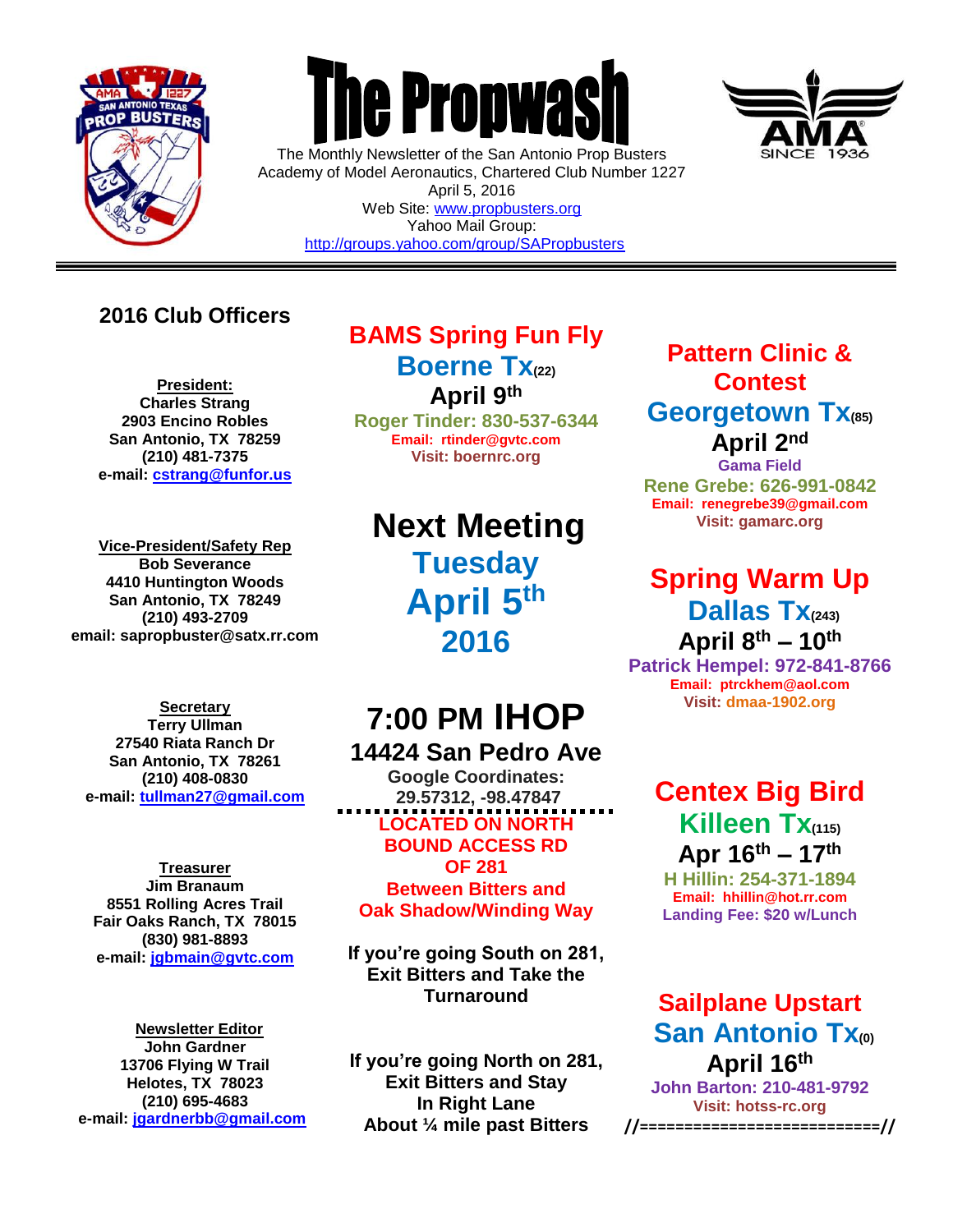

 $\overline{a}$ 



The Monthly Newsletter of the San Antonio Prop Busters Academy of Model Aeronautics, Chartered Club Number 1227 April 5, 2016 Web Site: [www.propbusters.org](http://www.propbusters.org/) Yahoo Mail Group: <http://groups.yahoo.com/group/SAPropbusters>



### **2016 Club Officers**

**President: Charles Strang 2903 Encino Robles San Antonio, TX 78259 (210) 481-7375 e-mail: [cstrang@funfor.us](mailto:cstrang@funfor.us)**

**Vice-President/Safety Rep Bob Severance 4410 Huntington Woods San Antonio, TX 78249 (210) 493-2709 email: sapropbuster@satx.rr.com**

**Secretary Terry Ullman 27540 Riata Ranch Dr San Antonio, TX 78261 (210) 408-0830 e-mail: [tullman27@gmail.com](mailto:tullman27@gmail.com)**

**Treasurer Jim Branaum 8551 Rolling Acres Trail Fair Oaks Ranch, TX 78015 (830) 981-8893 e-mail: [jgbmain@gvtc.com](mailto:jgbmain@gvtc.com)**

**Newsletter Editor John Gardner 13706 Flying W Trail Helotes, TX 78023 (210) 695-4683 e-mail: [jgardnerbb@gmail.com](mailto:jgardnerbb@gmail.com)**

# **BAMS Spring Fun Fly**

**Boerne Tx(22) April 9th**

**Roger Tinder: 830-537-6344 Email: rtinder@gvtc.com Visit: boernrc.org**

**Next Meeting Tuesday April 5th 2016**

## **7:00 PM IHOP 14424 San Pedro Ave**

**Google Coordinates: 29.57312, -98.47847 LOCATED ON NORTH BOUND ACCESS RD OF 281 Between Bitters and Oak Shadow/Winding Way**

**If you're going South on 281, Exit Bitters and Take the Turnaround**

**If you're going North on 281, Exit Bitters and Stay In Right Lane About ¼ mile past Bitters**

### **Pattern Clinic & Contest Georgetown Tx(85) April 2nd**

**Gama Field Rene Grebe: 626-991-0842 Email: renegrebe39@gmail.com Visit: gamarc.org**

# **Spring Warm Up Dallas Tx(243) April 8th – 10th**

**Patrick Hempel: 972-841-8766 Email: ptrckhem@aol.com Visit: [dmaa-1902.org](http://www.gamarc.org/)**

# **Centex Big Bird Killeen Tx(115) Apr 16th – 17th**

**H Hillin: 254-371-1894 Email: hhillin@hot.rr.com Landing Fee: \$20 w/Lunch**

### **Sailplane Upstart San Antonio Tx(0) April 16th**

**John Barton: 210-481-9792 Visit: hotss-rc.org //===========================//**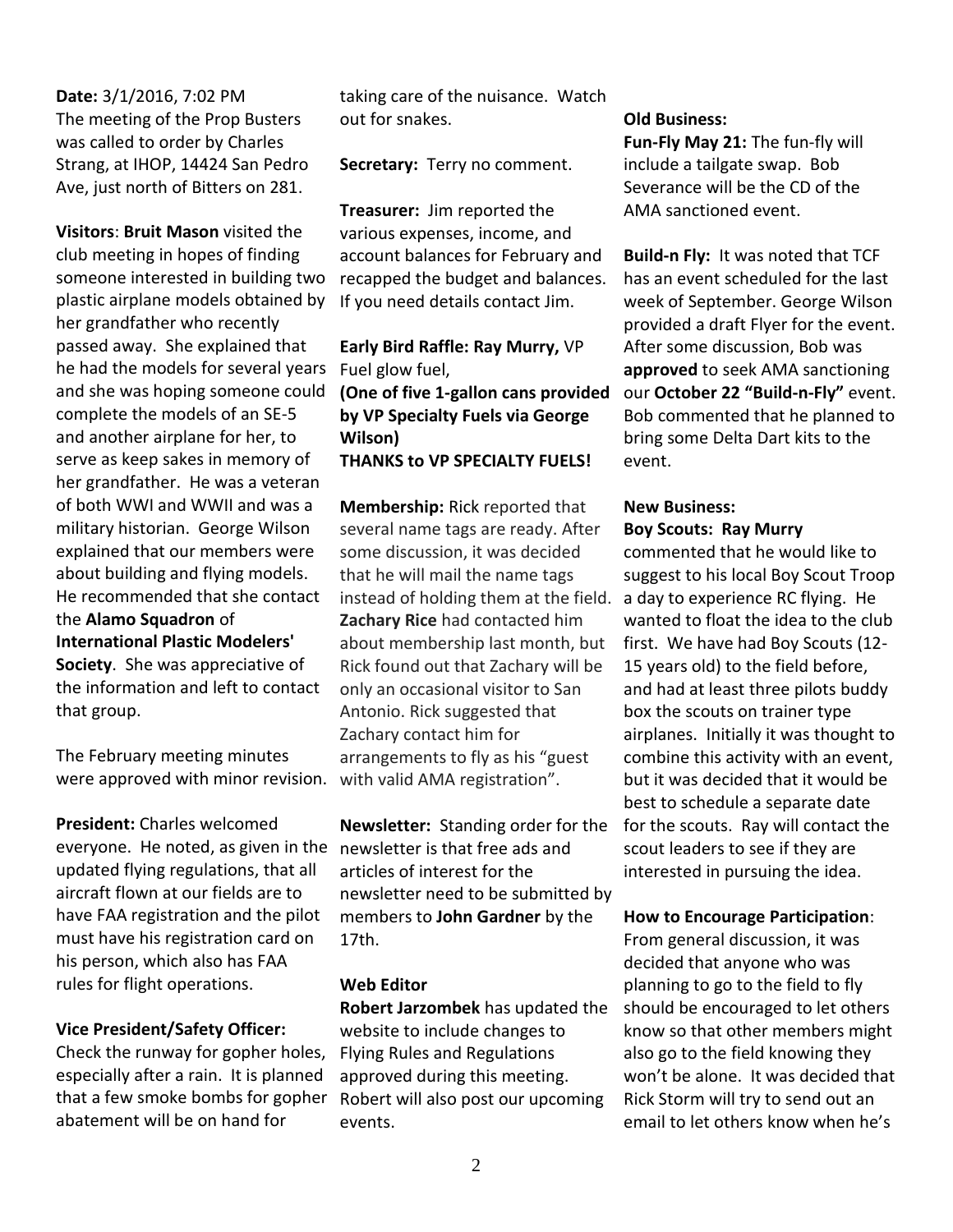#### **Date:** 3/1/2016, 7:02 PM The meeting of the Prop Busters was called to order by Charles Strang, at IHOP, 14424 San Pedro Ave, just north of Bitters on 281.

**Visitors**: **Bruit Mason** visited the club meeting in hopes of finding someone interested in building two plastic airplane models obtained by her grandfather who recently passed away. She explained that he had the models for several years and she was hoping someone could complete the models of an SE-5 and another airplane for her, to serve as keep sakes in memory of her grandfather. He was a veteran of both WWI and WWII and was a military historian. George Wilson explained that our members were about building and flying models. He recommended that she contact the **Alamo Squadron** of **International Plastic Modelers' Society**. She was appreciative of the information and left to contact that group.

The February meeting minutes were approved with minor revision.

**President:** Charles welcomed everyone. He noted, as given in the updated flying regulations, that all aircraft flown at our fields are to have FAA registration and the pilot must have his registration card on his person, which also has FAA rules for flight operations.

#### **Vice President/Safety Officer:**

Check the runway for gopher holes, especially after a rain. It is planned that a few smoke bombs for gopher abatement will be on hand for

taking care of the nuisance. Watch out for snakes.

**Secretary:** Terry no comment.

**Treasurer:** Jim reported the various expenses, income, and account balances for February and recapped the budget and balances. If you need details contact Jim.

#### **Early Bird Raffle: Ray Murry,** VP Fuel glow fuel,

**(One of five 1-gallon cans provided by VP Specialty Fuels via George Wilson) THANKS to VP SPECIALTY FUELS!**

**Membership:** Rick reported that several name tags are ready. After some discussion, it was decided that he will mail the name tags instead of holding them at the field. **Zachary Rice** had contacted him about membership last month, but Rick found out that Zachary will be only an occasional visitor to San Antonio. Rick suggested that Zachary contact him for arrangements to fly as his "guest with valid AMA registration".

**Newsletter:** Standing order for the newsletter is that free ads and articles of interest for the newsletter need to be submitted by members to **John Gardner** by the 17th.

#### **Web Editor**

**Robert Jarzombek** has updated the website to include changes to Flying Rules and Regulations approved during this meeting. Robert will also post our upcoming events.

#### **Old Business:**

**Fun-Fly May 21:** The fun-fly will include a tailgate swap. Bob Severance will be the CD of the AMA sanctioned event.

**Build-n Fly:** It was noted that TCF has an event scheduled for the last week of September. George Wilson provided a draft Flyer for the event. After some discussion, Bob was **approved** to seek AMA sanctioning our **October 22 "Build-n-Fly"** event. Bob commented that he planned to bring some Delta Dart kits to the event.

#### **New Business: Boy Scouts: Ray Murry**

commented that he would like to suggest to his local Boy Scout Troop a day to experience RC flying. He wanted to float the idea to the club first. We have had Boy Scouts (12- 15 years old) to the field before, and had at least three pilots buddy box the scouts on trainer type airplanes. Initially it was thought to combine this activity with an event, but it was decided that it would be best to schedule a separate date for the scouts. Ray will contact the scout leaders to see if they are interested in pursuing the idea.

#### **How to Encourage Participation**:

From general discussion, it was decided that anyone who was planning to go to the field to fly should be encouraged to let others know so that other members might also go to the field knowing they won't be alone. It was decided that Rick Storm will try to send out an email to let others know when he's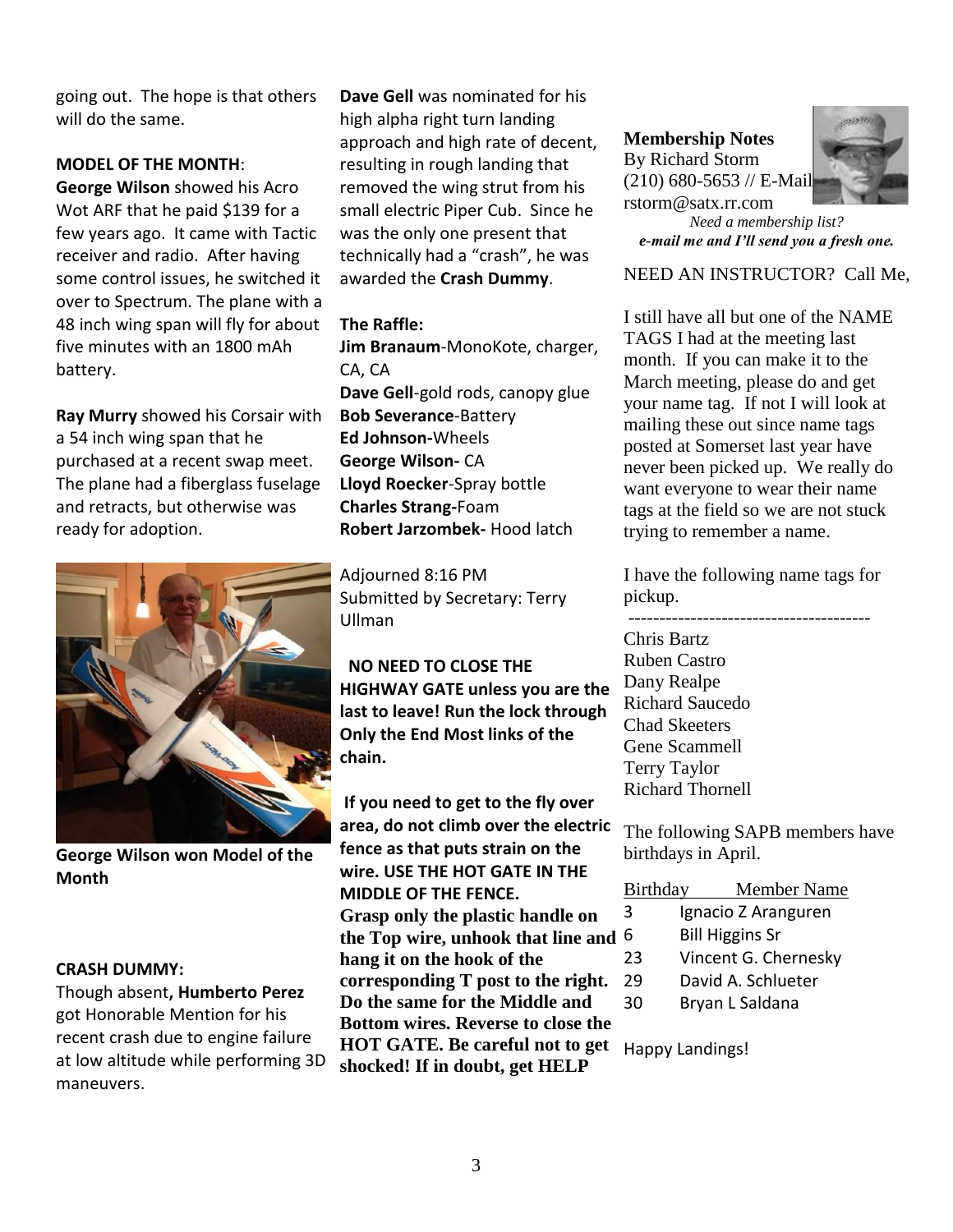going out. The hope is that others will do the same.

#### **MODEL OF THE MONTH**:

**George Wilson** showed his Acro Wot ARF that he paid \$139 for a few years ago. It came with Tactic receiver and radio. After having some control issues, he switched it over to Spectrum. The plane with a 48 inch wing span will fly for about five minutes with an 1800 mAh battery.

**Ray Murry** showed his Corsair with a 54 inch wing span that he purchased at a recent swap meet. The plane had a fiberglass fuselage and retracts, but otherwise was ready for adoption.



**George Wilson won Model of the Month**

#### **CRASH DUMMY:**

Though absent**, Humberto Perez**  got Honorable Mention for his recent crash due to engine failure at low altitude while performing 3D maneuvers.

**Dave Gell** was nominated for his high alpha right turn landing approach and high rate of decent, resulting in rough landing that removed the wing strut from his small electric Piper Cub. Since he was the only one present that technically had a "crash", he was awarded the **Crash Dummy**.

#### **The Raffle:**

**Jim Branaum**-MonoKote, charger, CA, CA **Dave Gell**-gold rods, canopy glue **Bob Severance**-Battery **Ed Johnson-**Wheels **George Wilson-** CA **Lloyd Roecker**-Spray bottle **Charles Strang-**Foam **Robert Jarzombek-** Hood latch

Adjourned 8:16 PM Submitted by Secretary: Terry Ullman

 **NO NEED TO CLOSE THE HIGHWAY GATE unless you are the last to leave! Run the lock through Only the End Most links of the chain.**

**If you need to get to the fly over area, do not climb over the electric fence as that puts strain on the wire. USE THE HOT GATE IN THE MIDDLE OF THE FENCE. Grasp only the plastic handle on the Top wire, unhook that line and hang it on the hook of the corresponding T post to the right. Do the same for the Middle and Bottom wires. Reverse to close the HOT GATE. Be careful not to get shocked! If in doubt, get HELP**

**Membership Notes** By Richard Storm (210) 680-5653 // E-Mail: rstorm@satx.rr.com



*Need a membership list? e-mail me and I'll send you a fresh one.*

NEED AN INSTRUCTOR? Call Me,

I still have all but one of the NAME TAGS I had at the meeting last month. If you can make it to the March meeting, please do and get your name tag. If not I will look at mailing these out since name tags posted at Somerset last year have never been picked up. We really do want everyone to wear their name tags at the field so we are not stuck trying to remember a name.

I have the following name tags for pickup.

--------------------------------------- Chris Bartz Ruben Castro Dany Realpe Richard Saucedo Chad Skeeters Gene Scammell Terry Taylor Richard Thornell

The following SAPB members have birthdays in April.

| Birthday                 | <b>Member Name</b>     |  |  |
|--------------------------|------------------------|--|--|
| Ignacio Z Aranguren<br>3 |                        |  |  |
| 6                        | <b>Bill Higgins Sr</b> |  |  |
|                          |                        |  |  |

- 23 Vincent G. Chernesky
- 29 David A. Schlueter
- 30 Bryan L Saldana

Happy Landings!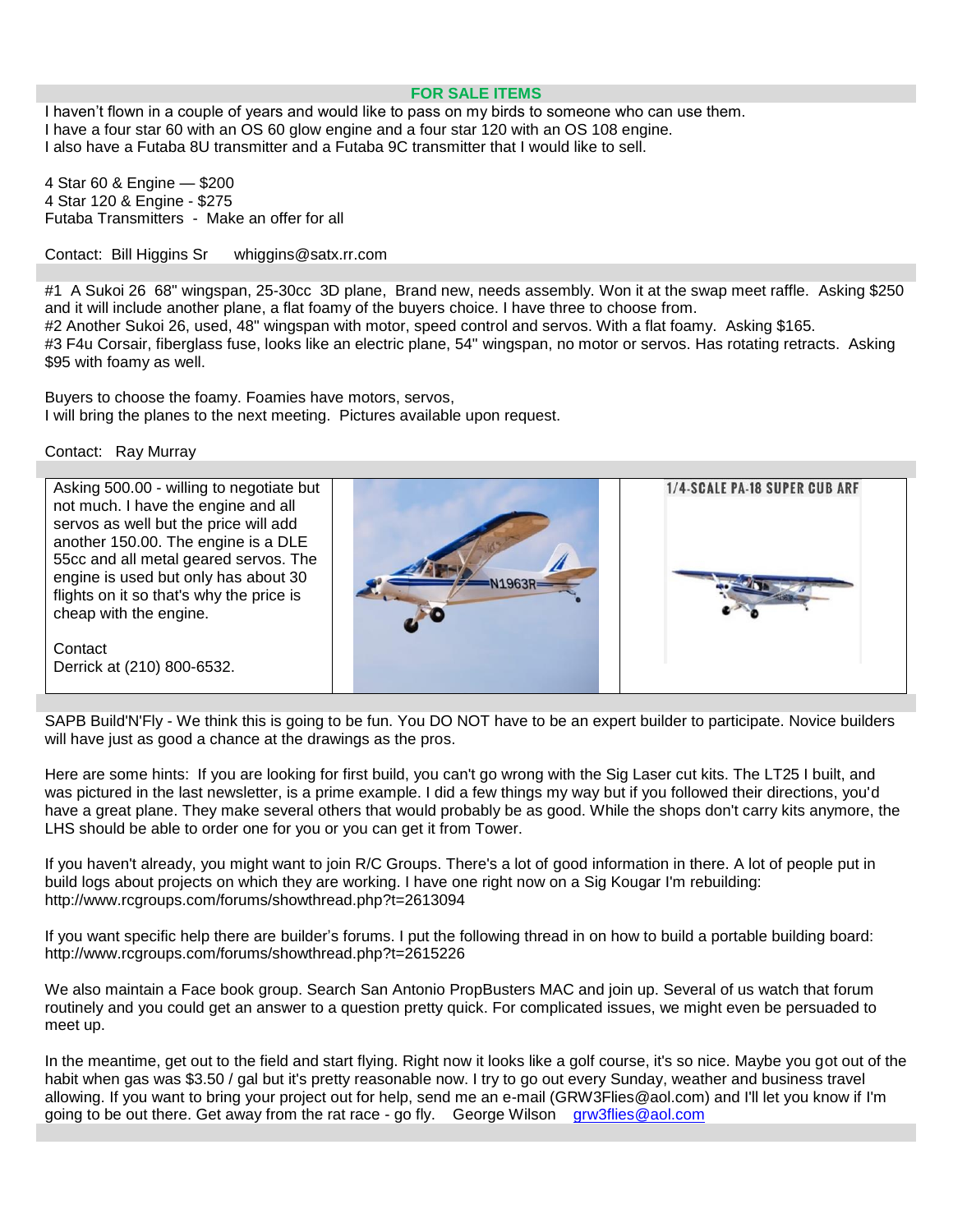#### **FOR SALE ITEMS**

I haven't flown in a couple of years and would like to pass on my birds to someone who can use them. I have a four star 60 with an OS 60 glow engine and a four star 120 with an OS 108 engine. I also have a Futaba 8U transmitter and a Futaba 9C transmitter that I would like to sell.

4 Star 60 & Engine — \$200 4 Star 120 & Engine - \$275 Futaba Transmitters - Make an offer for all

Contact: Bill Higgins Sr whiggins@satx.rr.com

#1 A Sukoi 26 68" wingspan, 25-30cc 3D plane, Brand new, needs assembly. Won it at the swap meet raffle. Asking \$250 and it will include another plane, a flat foamy of the buyers choice. I have three to choose from. #2 Another Sukoi 26, used, 48" wingspan with motor, speed control and servos. With a flat foamy. Asking \$165. #3 F4u Corsair, fiberglass fuse, looks like an electric plane, 54" wingspan, no motor or servos. Has rotating retracts. Asking \$95 with foamy as well.

Buyers to choose the foamy. Foamies have motors, servos, I will bring the planes to the next meeting. Pictures available upon request.

Contact: Ray Murray



SAPB Build'N'Fly - We think this is going to be fun. You DO NOT have to be an expert builder to participate. Novice builders will have just as good a chance at the drawings as the pros.

Here are some hints: If you are looking for first build, you can't go wrong with the Sig Laser cut kits. The LT25 I built, and was pictured in the last newsletter, is a prime example. I did a few things my way but if you followed their directions, you'd have a great plane. They make several others that would probably be as good. While the shops don't carry kits anymore, the LHS should be able to order one for you or you can get it from Tower.

If you haven't already, you might want to join R/C Groups. There's a lot of good information in there. A lot of people put in build logs about projects on which they are working. I have one right now on a Sig Kougar I'm rebuilding: http://www.rcgroups.com/forums/showthread.php?t=2613094

If you want specific help there are builder's forums. I put the following thread in on how to build a portable building board: http://www.rcgroups.com/forums/showthread.php?t=2615226

We also maintain a Face book group. Search San Antonio PropBusters MAC and join up. Several of us watch that forum routinely and you could get an answer to a question pretty quick. For complicated issues, we might even be persuaded to meet up.

In the meantime, get out to the field and start flying. Right now it looks like a golf course, it's so nice. Maybe you got out of the habit when gas was \$3.50 / gal but it's pretty reasonable now. I try to go out every Sunday, weather and business travel allowing. If you want to bring your project out for help, send me an e-mail (GRW3Flies@aol.com) and I'll let you know if I'm going to be out there. Get away from the rat race - go fly. George Wilson [grw3flies@aol.com](mailto:grw3flies@aol.com)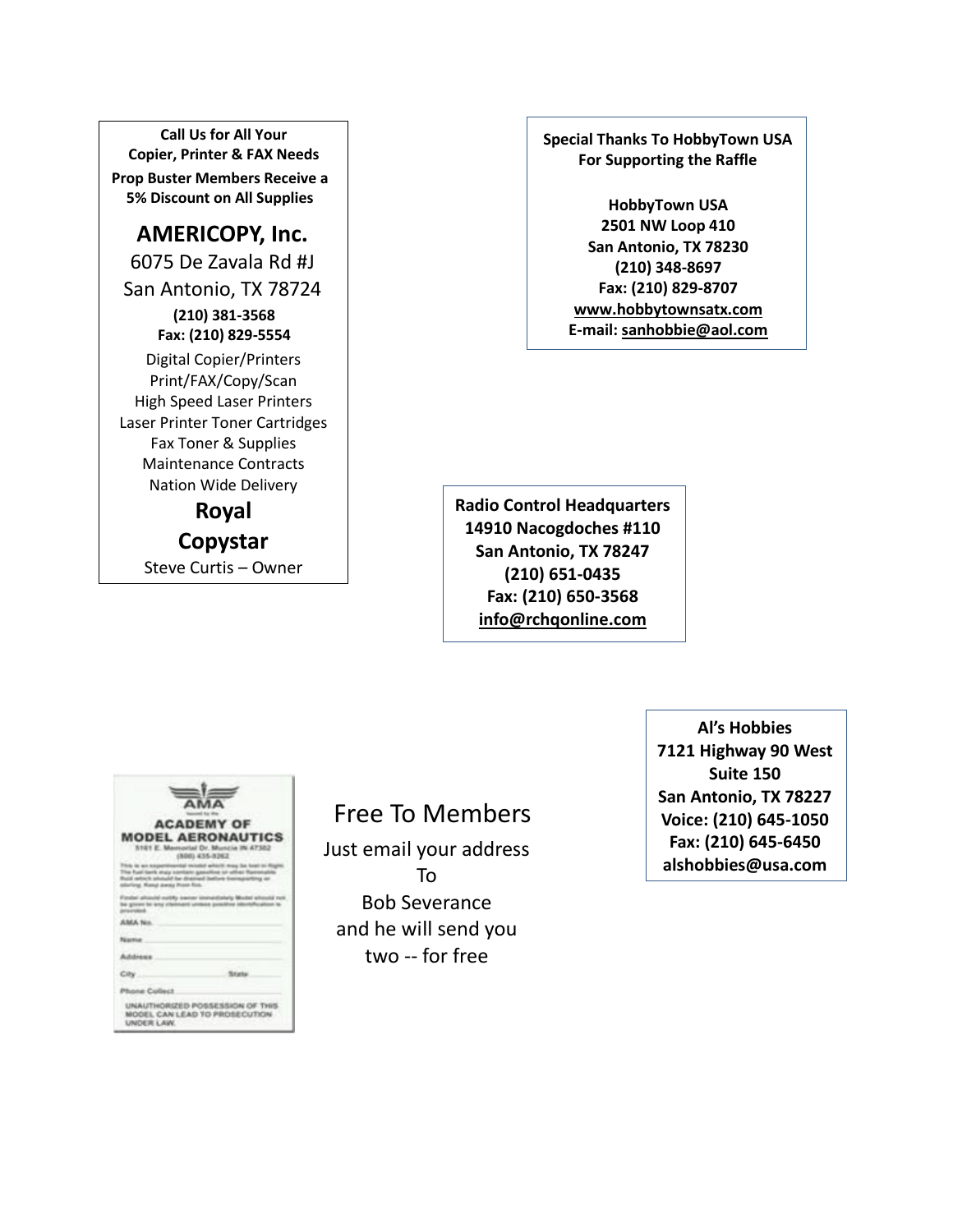**Call Us for All Your Copier, Printer & FAX Needs Prop Buster Members Receive a 5% Discount on All Supplies**

**AMERICOPY, Inc.** 6075 De Zavala Rd #J San Antonio, TX 78724 **(210) 381-3568 Fax: (210) 829-5554** Digital Copier/Printers Print/FAX/Copy/Scan High Speed Laser Printers Laser Printer Toner Cartridges Fax Toner & Supplies Maintenance Contracts Nation Wide Delivery

**Royal Copystar** Steve Curtis – Owner **Special Thanks To HobbyTown USA For Supporting the Raffle**

> **HobbyTown USA 2501 NW Loop 410 San Antonio, TX 78230 (210) 348-8697 Fax: (210) 829-8707 [www.hobbytownsatx.com](http://www.hobbytownsatx.com/) E-mail[: sanhobbie@aol.com](mailto:sanhobbie@aol.com)**

**Radio Control Headquarters 14910 Nacogdoches #110 San Antonio, TX 78247 (210) 651-0435 Fax: (210) 650-3568 [info@rchqonline.com](mailto:info@rchqonline.com)**

|                                     | <b>AMA</b>                                                                                                                           |
|-------------------------------------|--------------------------------------------------------------------------------------------------------------------------------------|
|                                     |                                                                                                                                      |
|                                     | <b>ACADEMY OF</b>                                                                                                                    |
|                                     | <b>MODEL AERONAUTICS</b><br>5161 E. Manuschel Dr. Muncie IN 47302<br>S265-223, 0363                                                  |
| Harford, Moneyl Jowesy Prizes King. | locity mosq Sat Scaly as Ring<br>i barik atala sombani gawalling ur adhar Manunalini.<br>Nch ahound he dramed bathro formazerbing en |
|                                     | Finded alliauld notify basier invisitintaly Mudel situalit roll.<br>be grown to any chairmant uniteen positive interture atoms to    |
| <b>SALA No.</b>                     |                                                                                                                                      |
| Niamia                              |                                                                                                                                      |
| Addiseas                            |                                                                                                                                      |
| City.                               | State                                                                                                                                |
| Phone Collect                       |                                                                                                                                      |
| UNDER LAW.                          | UNAUTHORIZED POSSESSION OF THIS<br>MODEL CAN LEAD TO PROSECUTION                                                                     |

### Free To Members

Just email your address To Bob Severance and he will send you two -- for free

**Al's Hobbies 7121 Highway 90 West Suite 150 San Antonio, TX 78227 Voice: (210) 645-1050 Fax: (210) 645-6450 alshobbies@usa.com**